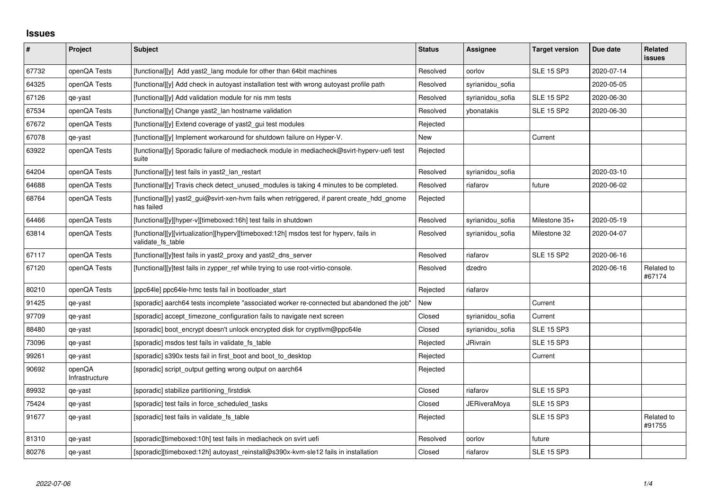## **Issues**

| $\sharp$ | Project                  | <b>Subject</b>                                                                                              | <b>Status</b> | Assignee            | <b>Target version</b> | Due date   | Related<br><b>issues</b> |
|----------|--------------------------|-------------------------------------------------------------------------------------------------------------|---------------|---------------------|-----------------------|------------|--------------------------|
| 67732    | openQA Tests             | [functional][y] Add yast2 lang module for other than 64bit machines                                         | Resolved      | oorlov              | <b>SLE 15 SP3</b>     | 2020-07-14 |                          |
| 64325    | openQA Tests             | [functional][y] Add check in autoyast installation test with wrong autoyast profile path                    | Resolved      | syrianidou_sofia    |                       | 2020-05-05 |                          |
| 67126    | qe-yast                  | [functional][y] Add validation module for nis mm tests                                                      | Resolved      | syrianidou_sofia    | <b>SLE 15 SP2</b>     | 2020-06-30 |                          |
| 67534    | openQA Tests             | [functional][y] Change yast2 lan hostname validation                                                        | Resolved      | ybonatakis          | <b>SLE 15 SP2</b>     | 2020-06-30 |                          |
| 67672    | openQA Tests             | [functional][y] Extend coverage of yast2_gui test modules                                                   | Rejected      |                     |                       |            |                          |
| 67078    | qe-yast                  | [functional][y] Implement workaround for shutdown failure on Hyper-V.                                       | New           |                     | Current               |            |                          |
| 63922    | openQA Tests             | [functional][y] Sporadic failure of mediacheck module in mediacheck@svirt-hyperv-uefi test<br>suite         | Rejected      |                     |                       |            |                          |
| 64204    | openQA Tests             | [functional][y] test fails in yast2_lan_restart                                                             | Resolved      | syrianidou_sofia    |                       | 2020-03-10 |                          |
| 64688    | openQA Tests             | [functional][y] Travis check detect_unused_modules is taking 4 minutes to be completed.                     | Resolved      | riafarov            | future                | 2020-06-02 |                          |
| 68764    | openQA Tests             | [functional][y] yast2_gui@svirt-xen-hvm fails when retriggered, if parent create_hdd_gnome<br>has failed    | Rejected      |                     |                       |            |                          |
| 64466    | openQA Tests             | [functional][y][hyper-v][timeboxed:16h] test fails in shutdown                                              | Resolved      | syrianidou_sofia    | Milestone 35+         | 2020-05-19 |                          |
| 63814    | openQA Tests             | [functional][y][virtualization][hyperv][timeboxed:12h] msdos test for hyperv, fails in<br>validate fs table | Resolved      | syrianidou sofia    | Milestone 32          | 2020-04-07 |                          |
| 67117    | openQA Tests             | [functional][y]test fails in yast2 proxy and yast2 dns server                                               | Resolved      | riafarov            | <b>SLE 15 SP2</b>     | 2020-06-16 |                          |
| 67120    | openQA Tests             | [functional][y]test fails in zypper_ref while trying to use root-virtio-console.                            | Resolved      | dzedro              |                       | 2020-06-16 | Related to<br>#67174     |
| 80210    | openQA Tests             | [ppc64le] ppc64le-hmc tests fail in bootloader_start                                                        | Rejected      | riafarov            |                       |            |                          |
| 91425    | qe-yast                  | [sporadic] aarch64 tests incomplete "associated worker re-connected but abandoned the job"                  | New           |                     | Current               |            |                          |
| 97709    | qe-yast                  | [sporadic] accept_timezone_configuration fails to navigate next screen                                      | Closed        | syrianidou_sofia    | Current               |            |                          |
| 88480    | qe-yast                  | [sporadic] boot encrypt doesn't unlock encrypted disk for cryptlym@ppc64le                                  | Closed        | syrianidou sofia    | <b>SLE 15 SP3</b>     |            |                          |
| 73096    | qe-yast                  | [sporadic] msdos test fails in validate_fs_table                                                            | Rejected      | <b>JRivrain</b>     | <b>SLE 15 SP3</b>     |            |                          |
| 99261    | qe-yast                  | [sporadic] s390x tests fail in first_boot and boot_to_desktop                                               | Rejected      |                     | Current               |            |                          |
| 90692    | openQA<br>Infrastructure | [sporadic] script_output getting wrong output on aarch64                                                    | Rejected      |                     |                       |            |                          |
| 89932    | qe-yast                  | [sporadic] stabilize partitioning_firstdisk                                                                 | Closed        | riafarov            | <b>SLE 15 SP3</b>     |            |                          |
| 75424    | qe-yast                  | [sporadic] test fails in force_scheduled_tasks                                                              | Closed        | <b>JERiveraMoya</b> | <b>SLE 15 SP3</b>     |            |                          |
| 91677    | qe-yast                  | [sporadic] test fails in validate_fs_table                                                                  | Rejected      |                     | <b>SLE 15 SP3</b>     |            | Related to<br>#91755     |
| 81310    | qe-yast                  | [sporadic][timeboxed:10h] test fails in mediacheck on svirt uefi                                            | Resolved      | oorlov              | future                |            |                          |
| 80276    | qe-yast                  | [sporadic][timeboxed:12h] autoyast reinstall@s390x-kvm-sle12 fails in installation                          | Closed        | riafarov            | <b>SLE 15 SP3</b>     |            |                          |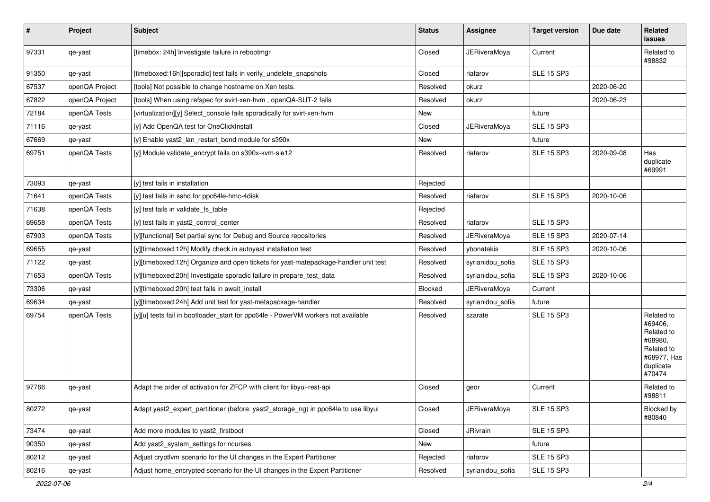| $\vert$ # | Project        | Subject                                                                             | <b>Status</b> | Assignee            | <b>Target version</b> | Due date   | Related<br>issues                                                                                  |
|-----------|----------------|-------------------------------------------------------------------------------------|---------------|---------------------|-----------------------|------------|----------------------------------------------------------------------------------------------------|
| 97331     | qe-yast        | [timebox: 24h] Investigate failure in rebootmgr                                     | Closed        | <b>JERiveraMoya</b> | Current               |            | Related to<br>#98832                                                                               |
| 91350     | qe-yast        | [timeboxed:16h][sporadic] test fails in verify_undelete_snapshots                   | Closed        | riafarov            | <b>SLE 15 SP3</b>     |            |                                                                                                    |
| 67537     | openQA Project | [tools] Not possible to change hostname on Xen tests.                               | Resolved      | okurz               |                       | 2020-06-20 |                                                                                                    |
| 67822     | openQA Project | [tools] When using refspec for svirt-xen-hvm, openQA-SUT-2 fails                    | Resolved      | okurz               |                       | 2020-06-23 |                                                                                                    |
| 72184     | openQA Tests   | [virtualization][y] Select console fails sporadically for svirt-xen-hvm             | New           |                     | future                |            |                                                                                                    |
| 71116     | qe-yast        | [y] Add OpenQA test for OneClickInstall                                             | Closed        | <b>JERiveraMoya</b> | SLE 15 SP3            |            |                                                                                                    |
| 67669     | qe-yast        | [y] Enable yast2_lan_restart_bond module for s390x                                  | New           |                     | future                |            |                                                                                                    |
| 69751     | openQA Tests   | [y] Module validate_encrypt fails on s390x-kvm-sle12                                | Resolved      | riafarov            | <b>SLE 15 SP3</b>     | 2020-09-08 | Has<br>duplicate<br>#69991                                                                         |
| 73093     | qe-yast        | [y] test fails in installation                                                      | Rejected      |                     |                       |            |                                                                                                    |
| 71641     | openQA Tests   | [y] test fails in sshd for ppc64le-hmc-4disk                                        | Resolved      | riafarov            | <b>SLE 15 SP3</b>     | 2020-10-06 |                                                                                                    |
| 71638     | openQA Tests   | [y] test fails in validate fs table                                                 | Rejected      |                     |                       |            |                                                                                                    |
| 69658     | openQA Tests   | [y] test fails in yast2_control_center                                              | Resolved      | riafarov            | <b>SLE 15 SP3</b>     |            |                                                                                                    |
| 67903     | openQA Tests   | [y][functional] Set partial sync for Debug and Source repositories                  | Resolved      | <b>JERiveraMoya</b> | <b>SLE 15 SP3</b>     | 2020-07-14 |                                                                                                    |
| 69655     | qe-yast        | [y][timeboxed:12h] Modify check in autoyast installation test                       | Resolved      | ybonatakis          | <b>SLE 15 SP3</b>     | 2020-10-06 |                                                                                                    |
| 71122     | qe-yast        | [y][timeboxed:12h] Organize and open tickets for yast-matepackage-handler unit test | Resolved      | syrianidou_sofia    | <b>SLE 15 SP3</b>     |            |                                                                                                    |
| 71653     | openQA Tests   | [y][timeboxed:20h] Investigate sporadic failure in prepare_test_data                | Resolved      | syrianidou sofia    | <b>SLE 15 SP3</b>     | 2020-10-06 |                                                                                                    |
| 73306     | qe-yast        | [y][timeboxed:20h] test fails in await_install                                      | Blocked       | <b>JERiveraMoya</b> | Current               |            |                                                                                                    |
| 69634     | qe-yast        | [y][timeboxed:24h] Add unit test for yast-metapackage-handler                       | Resolved      | syrianidou_sofia    | future                |            |                                                                                                    |
| 69754     | openQA Tests   | [y][u] tests fail in bootloader_start for ppc64le - PowerVM workers not available   | Resolved      | szarate             | <b>SLE 15 SP3</b>     |            | Related to<br>#69406.<br>Related to<br>#68980,<br>Related to<br>#68977, Has<br>duplicate<br>#70474 |
| 97766     | qe-yast        | Adapt the order of activation for ZFCP with client for libyui-rest-api              | Closed        | geor                | Current               |            | Related to<br>#98811                                                                               |
| 80272     | qe-yast        | Adapt yast2_expert_partitioner (before: yast2_storage_ng) in ppc64le to use libyui  | Closed        | <b>JERiveraMoya</b> | <b>SLE 15 SP3</b>     |            | Blocked by<br>#80840                                                                               |
| 73474     | qe-yast        | Add more modules to yast2_firstboot                                                 | Closed        | JRivrain            | <b>SLE 15 SP3</b>     |            |                                                                                                    |
| 90350     | qe-yast        | Add yast2 system settings for ncurses                                               | New           |                     | future                |            |                                                                                                    |
| 80212     | qe-yast        | Adjust cryptlvm scenario for the UI changes in the Expert Partitioner               | Rejected      | riafarov            | <b>SLE 15 SP3</b>     |            |                                                                                                    |
| 80216     | qe-yast        | Adjust home_encrypted scenario for the UI changes in the Expert Partitioner         | Resolved      | syrianidou_sofia    | <b>SLE 15 SP3</b>     |            |                                                                                                    |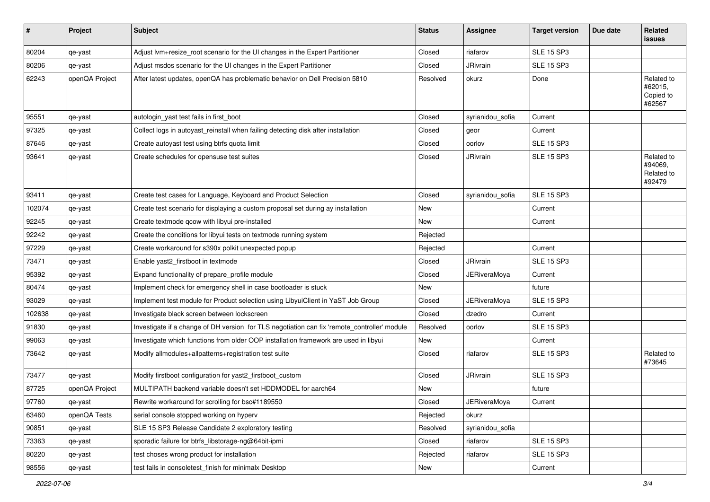| #      | Project        | <b>Subject</b>                                                                               | <b>Status</b> | Assignee            | <b>Target version</b> | Due date | Related<br>issues                             |
|--------|----------------|----------------------------------------------------------------------------------------------|---------------|---------------------|-----------------------|----------|-----------------------------------------------|
| 80204  | qe-yast        | Adjust lvm+resize_root scenario for the UI changes in the Expert Partitioner                 | Closed        | riafarov            | <b>SLE 15 SP3</b>     |          |                                               |
| 80206  | qe-yast        | Adjust msdos scenario for the UI changes in the Expert Partitioner                           | Closed        | JRivrain            | <b>SLE 15 SP3</b>     |          |                                               |
| 62243  | openQA Project | After latest updates, openQA has problematic behavior on Dell Precision 5810                 | Resolved      | okurz               | Done                  |          | Related to<br>#62015,<br>Copied to<br>#62567  |
| 95551  | qe-yast        | autologin_yast test fails in first_boot                                                      | Closed        | syrianidou_sofia    | Current               |          |                                               |
| 97325  | qe-yast        | Collect logs in autoyast_reinstall when failing detecting disk after installation            | Closed        | geor                | Current               |          |                                               |
| 87646  | qe-yast        | Create autoyast test using btrfs quota limit                                                 | Closed        | oorlov              | <b>SLE 15 SP3</b>     |          |                                               |
| 93641  | qe-yast        | Create schedules for opensuse test suites                                                    | Closed        | JRivrain            | <b>SLE 15 SP3</b>     |          | Related to<br>#94069,<br>Related to<br>#92479 |
| 93411  | qe-yast        | Create test cases for Language, Keyboard and Product Selection                               | Closed        | syrianidou_sofia    | <b>SLE 15 SP3</b>     |          |                                               |
| 102074 | qe-yast        | Create test scenario for displaying a custom proposal set during ay installation             | New           |                     | Current               |          |                                               |
| 92245  | qe-yast        | Create textmode qcow with libyui pre-installed                                               | New           |                     | Current               |          |                                               |
| 92242  | qe-yast        | Create the conditions for libyui tests on textmode running system                            | Rejected      |                     |                       |          |                                               |
| 97229  | qe-yast        | Create workaround for s390x polkit unexpected popup                                          | Rejected      |                     | Current               |          |                                               |
| 73471  | qe-yast        | Enable yast2_firstboot in textmode                                                           | Closed        | JRivrain            | <b>SLE 15 SP3</b>     |          |                                               |
| 95392  | qe-yast        | Expand functionality of prepare_profile module                                               | Closed        | <b>JERiveraMoya</b> | Current               |          |                                               |
| 80474  | qe-yast        | Implement check for emergency shell in case bootloader is stuck                              | New           |                     | future                |          |                                               |
| 93029  | qe-yast        | Implement test module for Product selection using LibyuiClient in YaST Job Group             | Closed        | <b>JERiveraMoya</b> | <b>SLE 15 SP3</b>     |          |                                               |
| 102638 | qe-yast        | Investigate black screen between lockscreen                                                  | Closed        | dzedro              | Current               |          |                                               |
| 91830  | qe-yast        | Investigate if a change of DH version for TLS negotiation can fix 'remote_controller' module | Resolved      | oorlov              | <b>SLE 15 SP3</b>     |          |                                               |
| 99063  | qe-yast        | Investigate which functions from older OOP installation framework are used in libyui         | New           |                     | Current               |          |                                               |
| 73642  | qe-yast        | Modify allmodules+allpatterns+registration test suite                                        | Closed        | riafarov            | <b>SLE 15 SP3</b>     |          | Related to<br>#73645                          |
| 73477  | qe-yast        | Modify firstboot configuration for yast2_firstboot_custom                                    | Closed        | JRivrain            | <b>SLE 15 SP3</b>     |          |                                               |
| 87725  | openQA Project | MULTIPATH backend variable doesn't set HDDMODEL for aarch64                                  | New           |                     | future                |          |                                               |
| 97760  | qe-yast        | Rewrite workaround for scrolling for bsc#1189550                                             | Closed        | <b>JERiveraMoya</b> | Current               |          |                                               |
| 63460  | openQA Tests   | serial console stopped working on hyperv                                                     | Rejected      | okurz               |                       |          |                                               |
| 90851  | qe-yast        | SLE 15 SP3 Release Candidate 2 exploratory testing                                           | Resolved      | syrianidou_sofia    |                       |          |                                               |
| 73363  | qe-yast        | sporadic failure for btrfs libstorage-ng@64bit-ipmi                                          | Closed        | riafarov            | <b>SLE 15 SP3</b>     |          |                                               |
| 80220  | qe-yast        | test choses wrong product for installation                                                   | Rejected      | riafarov            | <b>SLE 15 SP3</b>     |          |                                               |
| 98556  | qe-yast        | test fails in consoletest_finish for minimalx Desktop                                        | New           |                     | Current               |          |                                               |